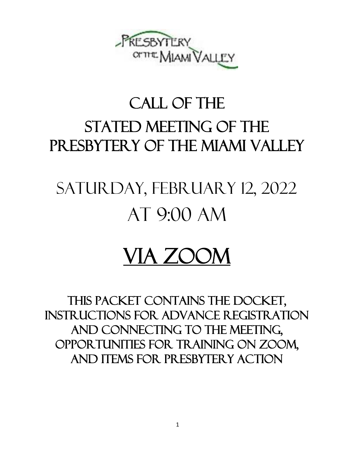

# CALL OF THE STATED MEETING OF THE PRESBYTERY OF THE MIAMI VALLEY

# Saturday, February 12, 2022 at 9:00 am

# VIA ZOOM

This packet contains the Docket, instructions for advance registration and connecting to the meeting, opportunities for Training on Zoom, and items for presbytery action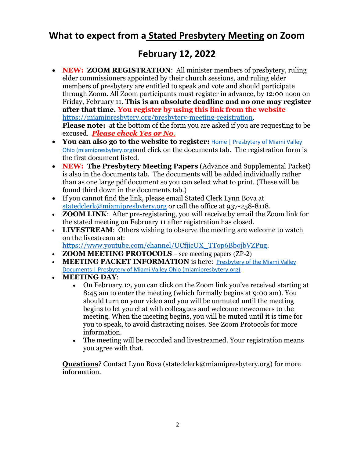## **What to expect from a Stated Presbytery Meeting on Zoom**

## **February 12, 2022**

- **NEW: ZOOM REGISTRATION:** All minister members of presbytery, ruling elder commissioners appointed by their church sessions, and ruling elder members of presbytery are entitled to speak and vote and should participate through Zoom. All Zoom participants must register in advance, by 12:00 noon on Friday, February 11. **This is an absolute deadline and no one may register after that time. You register by using this link from the website** [https://miamipresbytery.org/presbytery-meeting-registration.](https://miamipresbytery.org/presbytery-meeting-registration) **Please note:** at the bottom of the form you are asked if you are requesting to be excused. *Please check Yes or No.*
- **You can also go to the website to register:** [Home | Presbytery of Miami Valley](https://miamipresbytery.org/)  [Ohio \(miamipresbytery.org\)](https://miamipresbytery.org/)and click on the documents tab. The registration form is the first document listed.
- **NEW: The Presbytery Meeting Papers** (Advance and Supplemental Packet) is also in the documents tab. The documents will be added individually rather than as one large pdf document so you can select what to print. (These will be found third down in the documents tab.)
- If you cannot find the link, please email Stated Clerk Lynn Bova at [statedclerk@miamipresbytery.org](mailto:statedclerk@miamipresbytery.org) or call the office at 937-258-8118.
- **ZOOM LINK**: After pre-registering, you will receive by email the Zoom link for the stated meeting on February 11 after registration has closed.
- **LIVESTREAM**: Others wishing to observe the meeting are welcome to watch on the livestream at:

[https://www.youtube.com/channel/UCfjicUX\\_TTop6BbojbVZPug.](https://www.youtube.com/channel/UCfjicUX_TTop6BbojbVZPug)

- **ZOOM MEETING PROTOCOLS** see meeting papers (ZP-2)
- **MEETING PACKET INFORMATION** is here: [Presbytery of the Miami Valley](https://miamipresbytery.org/presbytery-of-the-miami-valley-documents/#packets)  [Documents | Presbytery of Miami Valley Ohio \(miamipresbytery.org\)](https://miamipresbytery.org/presbytery-of-the-miami-valley-documents/#packets)
- **MEETING DAY**:
	- On February 12, you can click on the Zoom link you've received starting at 8:45 am to enter the meeting (which formally begins at 9:00 am). You should turn on your video and you will be unmuted until the meeting begins to let you chat with colleagues and welcome newcomers to the meeting. When the meeting begins, you will be muted until it is time for you to speak, to avoid distracting noises. See Zoom Protocols for more information.
	- The meeting will be recorded and livestreamed. Your registration means you agree with that.

**Questions**? Contact Lynn Bova (statedclerk@miamipresbytery.org) for more information.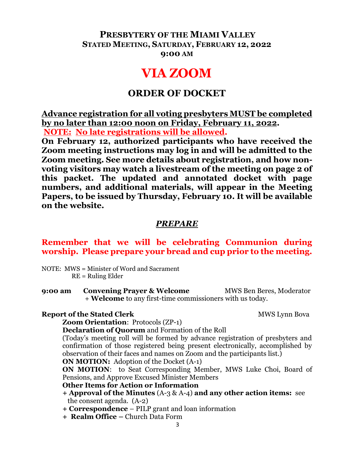### **PRESBYTERY OF THE MIAMI VALLEY STATED MEETING, SATURDAY, FEBRUARY 12, 2022 9:00 AM**

# **VIA ZOOM**

### **ORDER OF DOCKET**

**Advance registration for all voting presbyters MUST be completed by no later than 12:00 noon on Friday, February 11, 2022. NOTE: No late registrations will be allowed.**

**On February 12, authorized participants who have received the Zoom meeting instructions may log in and will be admitted to the Zoom meeting. See more details about registration, and how nonvoting visitors may watch a livestream of the meeting on page 2 of this packet. The updated and annotated docket with page numbers, and additional materials, will appear in the Meeting Papers, to be issued by Thursday, February 10. It will be available on the website.**

### *PREPARE*

#### **Remember that we will be celebrating Communion during worship. Please prepare your bread and cup prior to the meeting.**

NOTE: MWS = Minister of Word and Sacrament RE = Ruling Elder

**9:00 am Convening Prayer & Welcome** MWS Ben Beres, Moderator + **Welcome** to any first-time commissioners with us today.

#### **Report of the Stated Clerk** MWS Lynn Bova

**Zoom Orientation**: Protocols (ZP-1)

**Declaration of Quorum** and Formation of the Roll

(Today's meeting roll will be formed by advance registration of presbyters and confirmation of those registered being present electronically, accomplished by observation of their faces and names on Zoom and the participants list.)

**ON MOTION:** Adoption of the Docket (A-1)

**ON MOTION**: to Seat Corresponding Member, MWS Luke Choi, Board of Pensions, and Approve Excused Minister Members

#### **Other Items for Action or Information**

- **+ Approval of the Minutes** (A-3 & A-4) **and any other action items:** see the consent agenda. (A-2)
- **+ Correspondence** PILP grant and loan information
- **+ Realm Office –** Church Data Form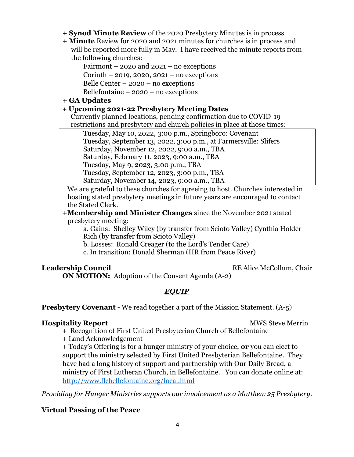- **+ Synod Minute Review** of the 2020 Presbytery Minutes is in process.
- **+ Minute** Review for 2020 and 2021 minutes for churches is in process and will be reported more fully in May. I have received the minute reports from the following churches:

Fairmont – 2020 and 2021 – no exceptions Corinth – 2019, 2020, 2021 – no exceptions Belle Center – 2020 – no exceptions Bellefontaine  $-2020$  – no exceptions

#### **+ GA Updates**

#### + **Upcoming 2021-22 Presbytery Meeting Dates**

 Currently planned locations, pending confirmation due to COVID-19 restrictions and presbytery and church policies in place at those times:

Tuesday, May 10, 2022, 3:00 p.m., Springboro: Covenant Tuesday, September 13, 2022, 3:00 p.m., at Farmersville: Slifers Saturday, November 12, 2022, 9:00 a.m., TBA Saturday, February 11, 2023, 9:00 a.m., TBA Tuesday, May 9, 2023, 3:00 p.m., TBA Tuesday, September 12, 2023, 3:00 p.m., TBA Saturday, November 14, 2023, 9:00 a.m., TBA

 We are grateful to these churches for agreeing to host. Churches interested in hosting stated presbytery meetings in future years are encouraged to contact the Stated Clerk.

#### **+Membership and Minister Changes** since the November 2021 stated presbytery meeting:

a. Gains: Shelley Wiley (by transfer from Scioto Valley) Cynthia Holder Rich (by transfer from Scioto Valley)

b. Losses: Ronald Creager (to the Lord's Tender Care)

c. In transition: Donald Sherman (HR from Peace River)

**Leadership Council RE Alice McCollum, Chair** 

**ON MOTION:** Adoption of the Consent Agenda (A-2)

#### *EQUIP*

**Presbytery Covenant** - We read together a part of the Mission Statement. (A-5)

#### **Hospitality Report MWS Steve Merrin**

+ Recognition of First United Presbyterian Church of Bellefontaine

+ Land Acknowledgement

+ Today's Offering is for a hunger ministry of your choice, **or** you can elect to support the ministry selected by First United Presbyterian Bellefontaine. They have had a long history of support and partnership with Our Daily Bread, a ministry of First Lutheran Church, in Bellefontaine. You can donate online at: <http://www.flcbellefontaine.org/local.html>

*Providing for Hunger Ministries supports our involvement as a Matthew 25 Presbytery.*

#### **Virtual Passing of the Peace**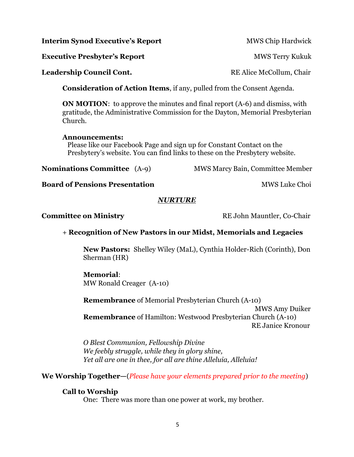**ON MOTION:** to approve the minutes and final report (A-6) and dismiss, with gratitude, the Administrative Commission for the Dayton, Memorial Presbyterian Church.

**Consideration of Action Items**, if any, pulled from the Consent Agenda.

#### **Announcements:**

 Please like our Facebook Page and sign up for Constant Contact on the Presbytery's website. You can find links to these on the Presbytery website.

**Nominations Committee** (A-9) MWS Marcy Bain, Committee Member

**Board of Pensions Presentation** MWS Luke Choi

#### *NURTURE*

**Committee on Ministry RE John Mauntler, Co-Chair** 

#### + **Recognition of New Pastors in our Midst, Memorials and Legacies**

**New Pastors:** Shelley Wiley (MaL), Cynthia Holder-Rich (Corinth), Don Sherman (HR)

#### **Memorial**:

MW Ronald Creager (A-10)

**Remembrance** of Memorial Presbyterian Church (A-10)

 MWS Amy Duiker **Remembrance** of Hamilton: Westwood Presbyterian Church (A-10) RE Janice Kronour

*O Blest Communion, Fellowship Divine We feebly struggle, while they in glory shine, Yet all are one in thee, for all are thine Alleluia, Alleluia!*

**We Worship Together—**(*Please have your elements prepared prior to the meeting*)

#### **Call to Worship**

One: There was more than one power at work, my brother.

**Leadership Council Cont. RE** Alice McCollum, Chair

**Interim Synod Executive's Report MWS Chip Hardwick** 

**Executive Presbyter's Report** MWS Terry Kukuk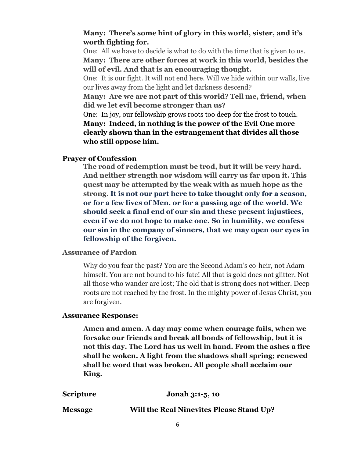#### **Many: There's some hint of glory in this world, sister, and it's worth fighting for.**

One: All we have to decide is what to do with the time that is given to us. **Many: There are other forces at work in this world, besides the will of evil. And that is an encouraging thought.**

One: It is our fight. It will not end here. Will we hide within our walls, live our lives away from the light and let darkness descend?

**Many: Are we are not part of this world? Tell me, friend, when did we let evil become stronger than us?**

One: In joy, our fellowship grows roots too deep for the frost to touch. **Many: Indeed, in nothing is the power of the Evil One more clearly shown than in the estrangement that divides all those who still oppose him.**

#### **Prayer of Confession**

**The road of redemption must be trod, but it will be very hard. And neither strength nor wisdom will carry us far upon it. This quest may be attempted by the weak with as much hope as the strong. It is not our part here to take thought only for a season, or for a few lives of Men, or for a passing age of the world. We should seek a final end of our sin and these present injustices, even if we do not hope to make one. So in humility, we confess our sin in the company of sinners, that we may open our eyes in fellowship of the forgiven.**

#### **Assurance of Pardon**

Why do you fear the past? You are the Second Adam's co-heir, not Adam himself. You are not bound to his fate! All that is gold does not glitter. Not all those who wander are lost; The old that is strong does not wither. Deep roots are not reached by the frost. In the mighty power of Jesus Christ, you are forgiven.

#### **Assurance Response:**

**Amen and amen. A day may come when courage fails, when we forsake our friends and break all bonds of fellowship, but it is not this day. The Lord has us well in hand. From the ashes a fire shall be woken. A light from the shadows shall spring; renewed shall be word that was broken. All people shall acclaim our King.**

| <b>Scripture</b> | Jonah 3:1-5, 10                                 |
|------------------|-------------------------------------------------|
| <b>Message</b>   | <b>Will the Real Ninevites Please Stand Up?</b> |